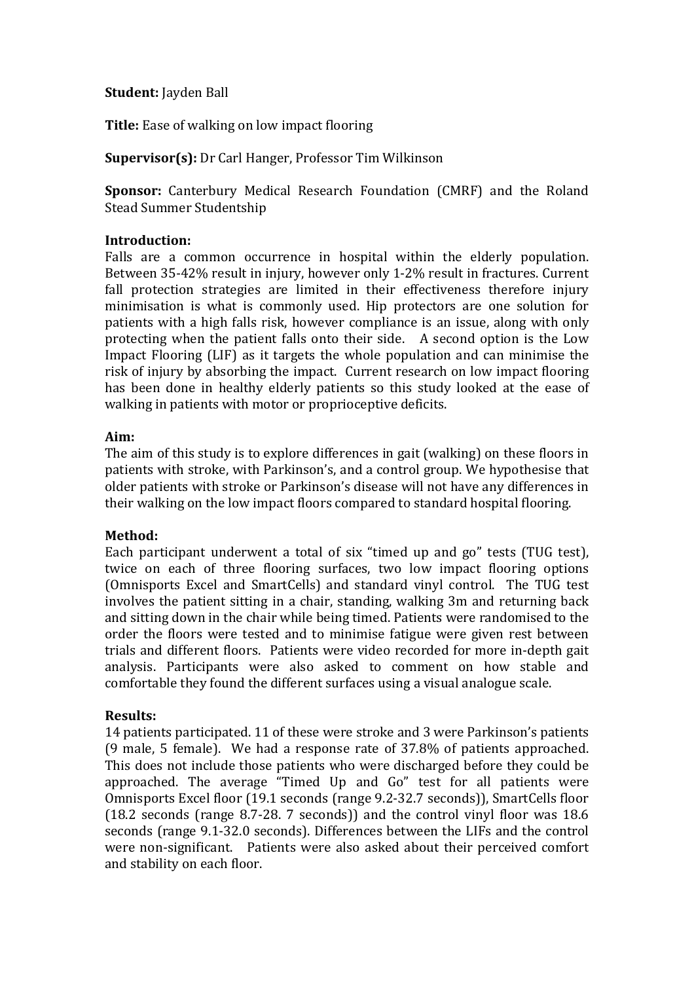### **Student:** Jayden Ball

**Title:** Ease of walking on low impact flooring

**Supervisor(s):** Dr Carl Hanger, Professor Tim Wilkinson

**Sponsor:** Canterbury Medical Research Foundation (CMRF) and the Roland Stead Summer Studentship

#### **Introduction:**

Falls are a common occurrence in hospital within the elderly population. Between 35-42% result in injury, however only 1-2% result in fractures. Current fall protection strategies are limited in their effectiveness therefore injury minimisation is what is commonly used. Hip protectors are one solution for patients with a high falls risk, however compliance is an issue, along with only protecting when the patient falls onto their side. A second option is the Low Impact Flooring (LIF) as it targets the whole population and can minimise the risk of injury by absorbing the impact. Current research on low impact flooring has been done in healthy elderly patients so this study looked at the ease of walking in patients with motor or proprioceptive deficits.

### **Aim:**

The aim of this study is to explore differences in gait (walking) on these floors in patients with stroke, with Parkinson's, and a control group. We hypothesise that older patients with stroke or Parkinson's disease will not have any differences in their walking on the low impact floors compared to standard hospital flooring.

# **Method:**

Each participant underwent a total of six "timed up and go" tests (TUG test), twice on each of three flooring surfaces, two low impact flooring options (Omnisports Excel and SmartCells) and standard vinyl control. The TUG test involves the patient sitting in a chair, standing, walking 3m and returning back and sitting down in the chair while being timed. Patients were randomised to the order the floors were tested and to minimise fatigue were given rest between trials and different floors. Patients were video recorded for more in-depth gait analysis. Participants were also asked to comment on how stable and comfortable they found the different surfaces using a visual analogue scale.

# **Results:**

14 patients participated. 11 of these were stroke and 3 were Parkinson's patients (9 male, 5 female). We had a response rate of 37.8% of patients approached. This does not include those patients who were discharged before they could be approached. The average "Timed Up and Go" test for all patients were Omnisports Excel floor (19.1 seconds (range 9.2-32.7 seconds)), SmartCells floor (18.2 seconds (range 8.7-28. 7 seconds)) and the control vinyl floor was 18.6 seconds (range 9.1-32.0 seconds). Differences between the LIFs and the control were non-significant. Patients were also asked about their perceived comfort and stability on each floor.